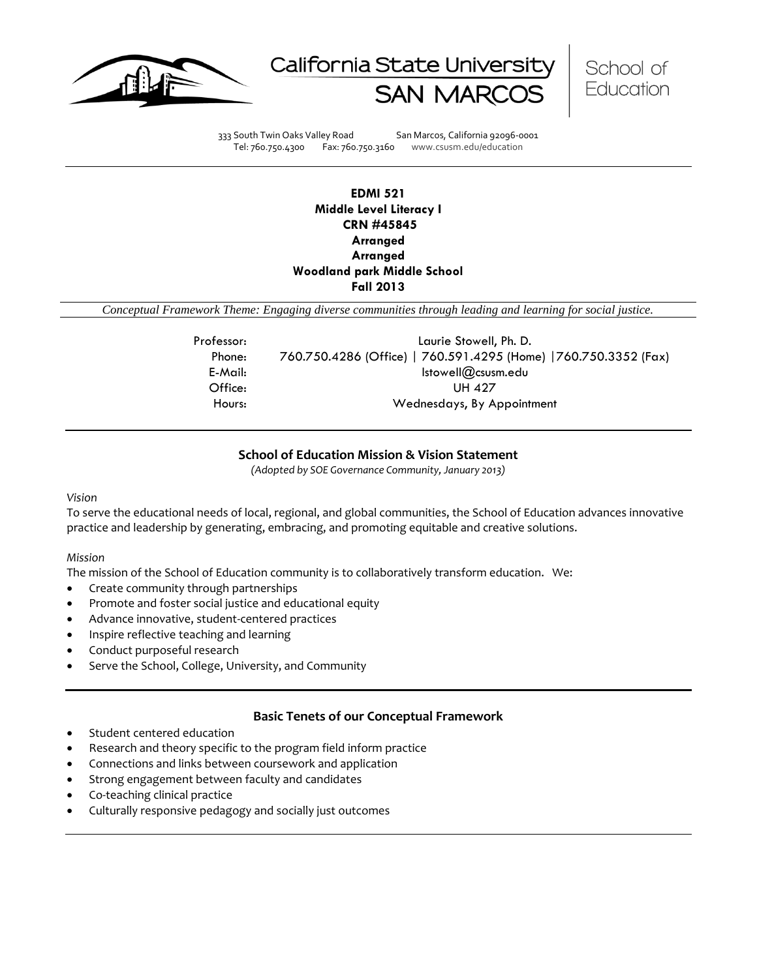





333 South Twin Oaks Valley Road San Marcos, California 92096-0001 Tel: 760.750.4300 Fax: 760.750.3160 www.csusm.edu/education

# **EDMI 521 Middle Level Literacy I CRN #45845 Arranged Arranged Woodland park Middle School Fall 2013**

*Conceptual Framework Theme: Engaging diverse communities through leading and learning for social justice.*

| Professor: | Laurie Stowell, Ph. D.                                           |
|------------|------------------------------------------------------------------|
| Phone:     | 760.750.4286 (Office)   760.591.4295 (Home)   760.750.3352 (Fax) |
| E-Mail:    | Istowell@csusm.edu                                               |
| Office:    | UH 427                                                           |
| Hours:     | Wednesdays, By Appointment                                       |
|            |                                                                  |

#### **School of Education Mission & Vision Statement**

*(Adopted by SOE Governance Community, January 2013)*

#### *Vision*

To serve the educational needs of local, regional, and global communities, the School of Education advances innovative practice and leadership by generating, embracing, and promoting equitable and creative solutions.

#### *Mission*

The mission of the School of Education community is to collaboratively transform education. We:

- Create community through partnerships
- Promote and foster social justice and educational equity
- Advance innovative, student-centered practices
- Inspire reflective teaching and learning
- Conduct purposeful research
- Serve the School, College, University, and Community

#### **Basic Tenets of our Conceptual Framework**

- Student centered education
- Research and theory specific to the program field inform practice
- Connections and links between coursework and application
- Strong engagement between faculty and candidates
- Co-teaching clinical practice
- Culturally responsive pedagogy and socially just outcomes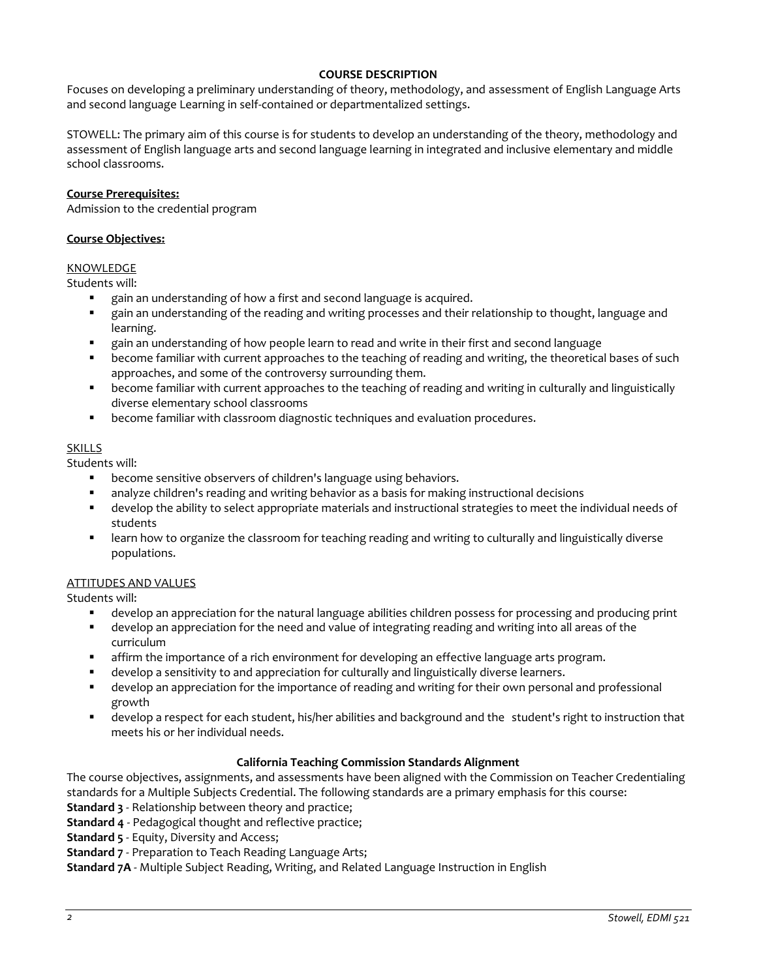#### **COURSE DESCRIPTION**

Focuses on developing a preliminary understanding of theory, methodology, and assessment of English Language Arts and second language Learning in self-contained or departmentalized settings.

STOWELL: The primary aim of this course is for students to develop an understanding of the theory, methodology and assessment of English language arts and second language learning in integrated and inclusive elementary and middle school classrooms.

#### **Course Prerequisites:**

Admission to the credential program

### **Course Objectives:**

# KNOWLEDGE

Students will:

- gain an understanding of how a first and second language is acquired.
- gain an understanding of the reading and writing processes and their relationship to thought, language and learning.
- gain an understanding of how people learn to read and write in their first and second language
- become familiar with current approaches to the teaching of reading and writing, the theoretical bases of such approaches, and some of the controversy surrounding them.
- become familiar with current approaches to the teaching of reading and writing in culturally and linguistically diverse elementary school classrooms
- become familiar with classroom diagnostic techniques and evaluation procedures.

#### SKILLS

Students will:

- become sensitive observers of children's language using behaviors.
- analyze children's reading and writing behavior as a basis for making instructional decisions
- develop the ability to select appropriate materials and instructional strategies to meet the individual needs of students
- learn how to organize the classroom for teaching reading and writing to culturally and linguistically diverse populations.

#### ATTITUDES AND VALUES

Students will:

- develop an appreciation for the natural language abilities children possess for processing and producing print
- develop an appreciation for the need and value of integrating reading and writing into all areas of the curriculum
- affirm the importance of a rich environment for developing an effective language arts program.
- develop a sensitivity to and appreciation for culturally and linguistically diverse learners.
- develop an appreciation for the importance of reading and writing for their own personal and professional growth
- develop a respect for each student, his/her abilities and background and the student's right to instruction that meets his or her individual needs.

#### **California Teaching Commission Standards Alignment**

The course objectives, assignments, and assessments have been aligned with the Commission on Teacher Credentialing standards for a Multiple Subjects Credential. The following standards are a primary emphasis for this course: **Standard 3** - Relationship between theory and practice;

**Standard 4** - Pedagogical thought and reflective practice;

**Standard 5** - Equity, Diversity and Access;

**Standard 7** - Preparation to Teach Reading Language Arts;

**Standard 7A** - Multiple Subject Reading, Writing, and Related Language Instruction in English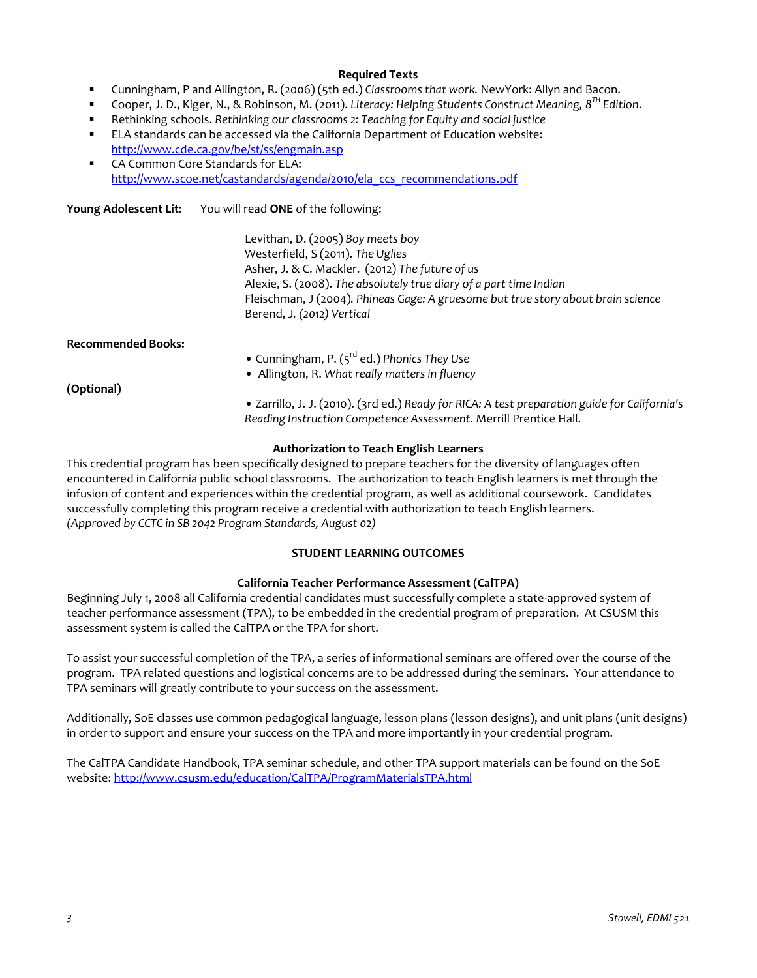#### **Required Texts**

- Cunningham, P and Allington, R. (2006) (5th ed.) *Classrooms that work.* NewYork: Allyn and Bacon.
- Cooper, J. D., Kiger, N., & Robinson, M. (2011). *Literacy: Helping Students Construct Meaning, 8TH Edition*.
- Rethinking schools. *Rethinking our classrooms 2: Teaching for Equity and social justice*
- ELA standards can be accessed via the California Department of Education website: <http://www.cde.ca.gov/be/st/ss/engmain.asp>
- CA Common Core Standards for ELA: [http://www.scoe.net/castandards/agenda/2010/ela\\_ccs\\_recommendations.pdf](http://www.scoe.net/castandards/agenda/2010/ela_ccs_recommendations.pdf)

**Young Adolescent Lit**: You will read **ONE** of the following:

Levithan, D. (2005) *Boy meets boy* Westerfield, S (2011). *The Uglies* Asher, J. & C. Mackler. (2012) *The future of us* Alexie, S. (2008). *The absolutely true diary of a part time Indian* Fleischman, J (2004)*. Phineas Gage: A gruesome but true story about brain science*  Berend, J*. (2012) Vertical* 

**Recommended Books:**

- Cunningham, P. (5rd ed.) *Phonics They Use*
- Allington, R. *What really matters in fluency*

**(Optional)**

**•** Zarrillo, J. J. (2010). (3rd ed.) *Ready for RICA: A test preparation guide for California's Reading Instruction Competence Assessment.* Merrill Prentice Hall.

### **Authorization to Teach English Learners**

This credential program has been specifically designed to prepare teachers for the diversity of languages often encountered in California public school classrooms. The authorization to teach English learners is met through the infusion of content and experiences within the credential program, as well as additional coursework. Candidates successfully completing this program receive a credential with authorization to teach English learners. *(Approved by CCTC in SB 2042 Program Standards, August 02)*

# **STUDENT LEARNING OUTCOMES**

#### **California Teacher Performance Assessment (CalTPA)**

Beginning July 1, 2008 all California credential candidates must successfully complete a state-approved system of teacher performance assessment (TPA), to be embedded in the credential program of preparation. At CSUSM this assessment system is called the CalTPA or the TPA for short.

To assist your successful completion of the TPA, a series of informational seminars are offered over the course of the program. TPA related questions and logistical concerns are to be addressed during the seminars. Your attendance to TPA seminars will greatly contribute to your success on the assessment.

Additionally, SoE classes use common pedagogical language, lesson plans (lesson designs), and unit plans (unit designs) in order to support and ensure your success on the TPA and more importantly in your credential program.

The CalTPA Candidate Handbook, TPA seminar schedule, and other TPA support materials can be found on the SoE website: <http://www.csusm.edu/education/CalTPA/ProgramMaterialsTPA.html>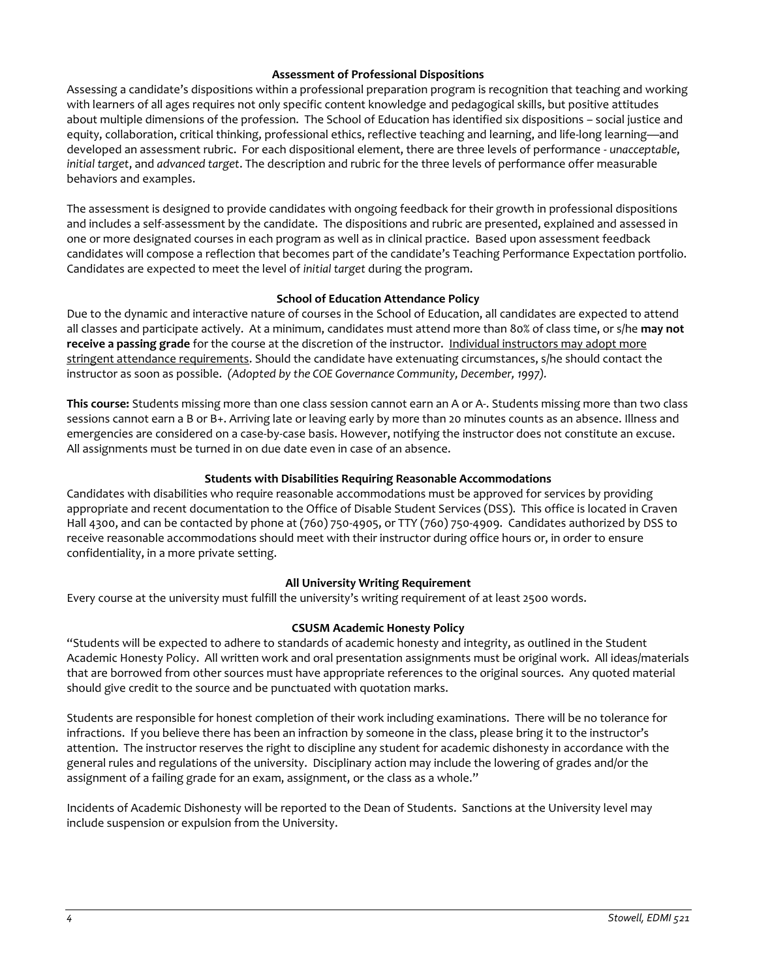#### **Assessment of Professional Dispositions**

Assessing a candidate's dispositions within a professional preparation program is recognition that teaching and working with learners of all ages requires not only specific content knowledge and pedagogical skills, but positive attitudes about multiple dimensions of the profession. The School of Education has identified six dispositions – social justice and equity, collaboration, critical thinking, professional ethics, reflective teaching and learning, and life-long learning—and developed an assessment rubric. For each dispositional element, there are three levels of performance - *unacceptable*, *initial target*, and *advanced target*. The description and rubric for the three levels of performance offer measurable behaviors and examples.

The assessment is designed to provide candidates with ongoing feedback for their growth in professional dispositions and includes a self-assessment by the candidate. The dispositions and rubric are presented, explained and assessed in one or more designated courses in each program as well as in clinical practice. Based upon assessment feedback candidates will compose a reflection that becomes part of the candidate's Teaching Performance Expectation portfolio. Candidates are expected to meet the level of *initial target* during the program.

#### **School of Education Attendance Policy**

Due to the dynamic and interactive nature of courses in the School of Education, all candidates are expected to attend all classes and participate actively. At a minimum, candidates must attend more than 80% of class time, or s/he **may not receive a passing grade** for the course at the discretion of the instructor. Individual instructors may adopt more stringent attendance requirements. Should the candidate have extenuating circumstances, s/he should contact the instructor as soon as possible. *(Adopted by the COE Governance Community, December, 1997).*

**This course:** Students missing more than one class session cannot earn an A or A-. Students missing more than two class sessions cannot earn a B or B+. Arriving late or leaving early by more than 20 minutes counts as an absence. Illness and emergencies are considered on a case-by-case basis. However, notifying the instructor does not constitute an excuse. All assignments must be turned in on due date even in case of an absence.

### **Students with Disabilities Requiring Reasonable Accommodations**

Candidates with disabilities who require reasonable accommodations must be approved for services by providing appropriate and recent documentation to the Office of Disable Student Services (DSS). This office is located in Craven Hall 4300, and can be contacted by phone at (760) 750-4905, or TTY (760) 750-4909. Candidates authorized by DSS to receive reasonable accommodations should meet with their instructor during office hours or, in order to ensure confidentiality, in a more private setting.

#### **All University Writing Requirement**

Every course at the university must fulfill the university's writing requirement of at least 2500 words.

# **CSUSM Academic Honesty Policy**

"Students will be expected to adhere to standards of academic honesty and integrity, as outlined in the Student Academic Honesty Policy. All written work and oral presentation assignments must be original work. All ideas/materials that are borrowed from other sources must have appropriate references to the original sources. Any quoted material should give credit to the source and be punctuated with quotation marks.

Students are responsible for honest completion of their work including examinations. There will be no tolerance for infractions. If you believe there has been an infraction by someone in the class, please bring it to the instructor's attention. The instructor reserves the right to discipline any student for academic dishonesty in accordance with the general rules and regulations of the university. Disciplinary action may include the lowering of grades and/or the assignment of a failing grade for an exam, assignment, or the class as a whole."

Incidents of Academic Dishonesty will be reported to the Dean of Students. Sanctions at the University level may include suspension or expulsion from the University.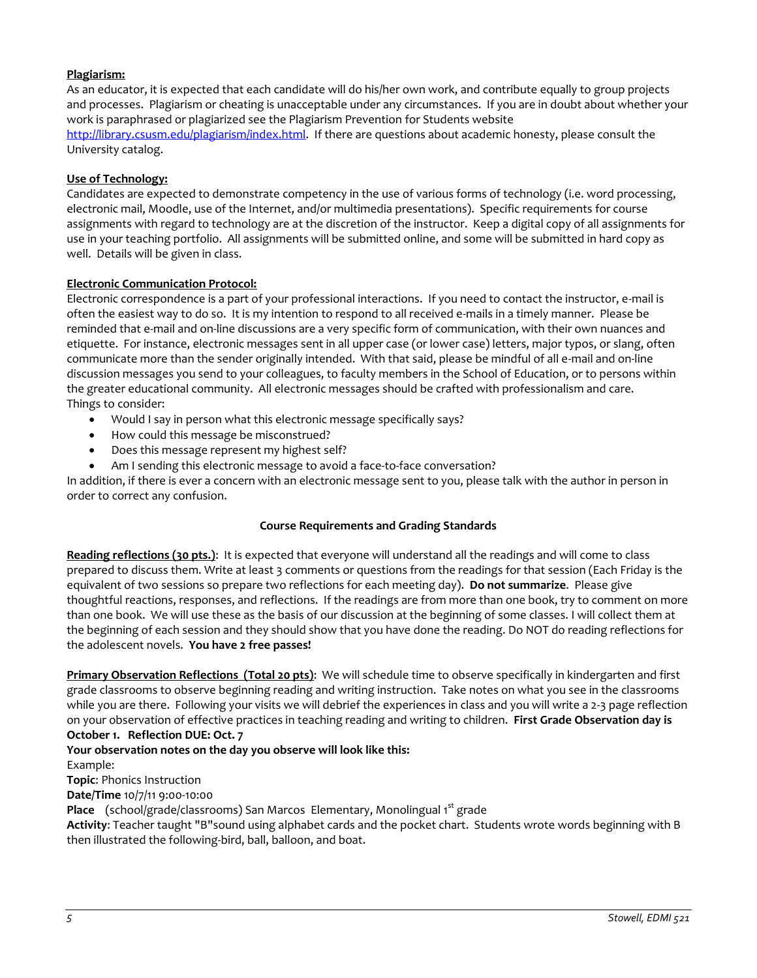# **Plagiarism:**

As an educator, it is expected that each candidate will do his/her own work, and contribute equally to group projects and processes. Plagiarism or cheating is unacceptable under any circumstances. If you are in doubt about whether your work is paraphrased or plagiarized see the Plagiarism Prevention for Students website [http://library.csusm.edu/plagiarism/index.html.](http://library.csusm.edu/plagiarism/index.html) If there are questions about academic honesty, please consult the University catalog.

### **Use of Technology:**

Candidates are expected to demonstrate competency in the use of various forms of technology (i.e. word processing, electronic mail, Moodle, use of the Internet, and/or multimedia presentations). Specific requirements for course assignments with regard to technology are at the discretion of the instructor. Keep a digital copy of all assignments for use in your teaching portfolio. All assignments will be submitted online, and some will be submitted in hard copy as well. Details will be given in class.

### **Electronic Communication Protocol:**

Electronic correspondence is a part of your professional interactions. If you need to contact the instructor, e-mail is often the easiest way to do so. It is my intention to respond to all received e-mails in a timely manner. Please be reminded that e-mail and on-line discussions are a very specific form of communication, with their own nuances and etiquette. For instance, electronic messages sent in all upper case (or lower case) letters, major typos, or slang, often communicate more than the sender originally intended. With that said, please be mindful of all e-mail and on-line discussion messages you send to your colleagues, to faculty members in the School of Education, or to persons within the greater educational community. All electronic messages should be crafted with professionalism and care. Things to consider:

- Would I say in person what this electronic message specifically says?
- How could this message be misconstrued?
- Does this message represent my highest self?
- Am I sending this electronic message to avoid a face-to-face conversation?

In addition, if there is ever a concern with an electronic message sent to you, please talk with the author in person in order to correct any confusion.

#### **Course Requirements and Grading Standards**

**Reading reflections (30 pts.)**: It is expected that everyone will understand all the readings and will come to class prepared to discuss them. Write at least 3 comments or questions from the readings for that session (Each Friday is the equivalent of two sessions so prepare two reflections for each meeting day). **Do not summarize**. Please give thoughtful reactions, responses, and reflections. If the readings are from more than one book, try to comment on more than one book. We will use these as the basis of our discussion at the beginning of some classes. I will collect them at the beginning of each session and they should show that you have done the reading. Do NOT do reading reflections for the adolescent novels. **You have 2 free passes!**

**Primary Observation Reflections (Total 20 pts)**: We will schedule time to observe specifically in kindergarten and first grade classrooms to observe beginning reading and writing instruction. Take notes on what you see in the classrooms while you are there. Following your visits we will debrief the experiences in class and you will write a 2-3 page reflection on your observation of effective practices in teaching reading and writing to children. **First Grade Observation day is October 1. Reflection DUE: Oct. 7**

**Your observation notes on the day you observe will look like this:**

Example:

**Topic**: Phonics Instruction

**Date/Time** 10/7/11 9:00-10:00

**Place** (school/grade/classrooms) San Marcos Elementary, Monolingual 1<sup>st</sup> grade

**Activity**: Teacher taught "B"sound using alphabet cards and the pocket chart. Students wrote words beginning with B then illustrated the following-bird, ball, balloon, and boat.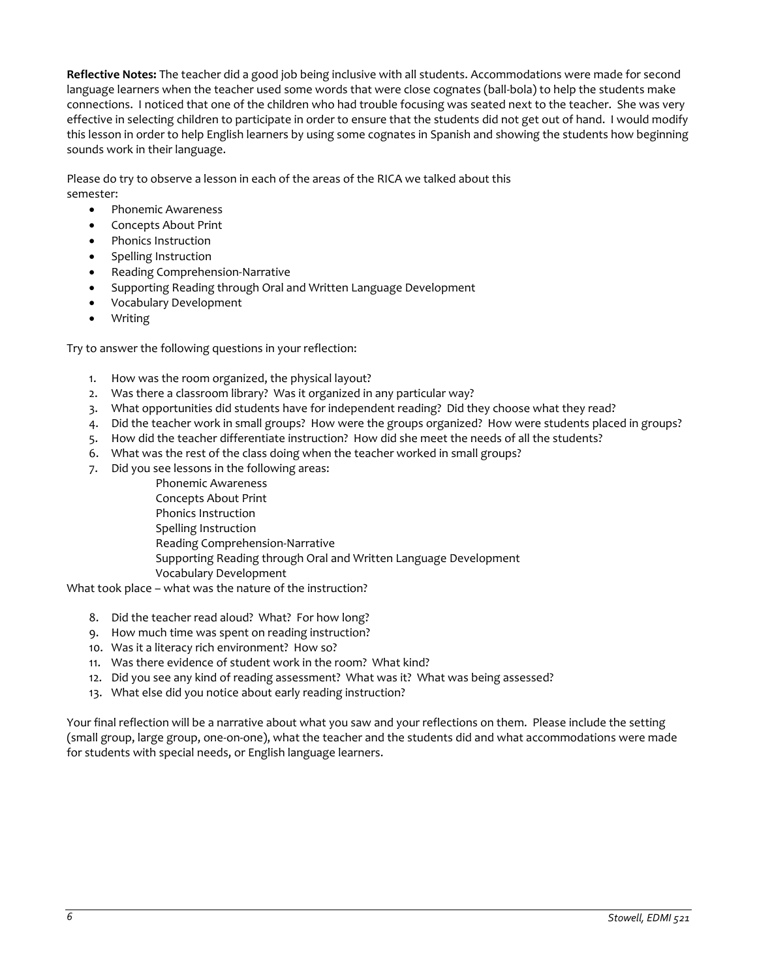**Reflective Notes:** The teacher did a good job being inclusive with all students. Accommodations were made for second language learners when the teacher used some words that were close cognates (ball-bola) to help the students make connections. I noticed that one of the children who had trouble focusing was seated next to the teacher. She was very effective in selecting children to participate in order to ensure that the students did not get out of hand. I would modify this lesson in order to help English learners by using some cognates in Spanish and showing the students how beginning sounds work in their language.

Please do try to observe a lesson in each of the areas of the RICA we talked about this semester:

- Phonemic Awareness
- Concepts About Print
- Phonics Instruction
- Spelling Instruction
- Reading Comprehension-Narrative
- Supporting Reading through Oral and Written Language Development
- Vocabulary Development
- Writing

Try to answer the following questions in your reflection:

- 1. How was the room organized, the physical layout?
- 2. Was there a classroom library? Was it organized in any particular way?
- 3. What opportunities did students have for independent reading? Did they choose what they read?
- 4. Did the teacher work in small groups? How were the groups organized? How were students placed in groups?
- 5. How did the teacher differentiate instruction? How did she meet the needs of all the students?
- 6. What was the rest of the class doing when the teacher worked in small groups?
- 7. Did you see lessons in the following areas:
	- Phonemic Awareness Concepts About Print Phonics Instruction Spelling Instruction Reading Comprehension-Narrative Supporting Reading through Oral and Written Language Development Vocabulary Development

What took place – what was the nature of the instruction?

- 8. Did the teacher read aloud? What? For how long?
- 9. How much time was spent on reading instruction?
- 10. Was it a literacy rich environment? How so?
- 11. Was there evidence of student work in the room? What kind?
- 12. Did you see any kind of reading assessment? What was it? What was being assessed?
- 13. What else did you notice about early reading instruction?

Your final reflection will be a narrative about what you saw and your reflections on them. Please include the setting (small group, large group, one-on-one), what the teacher and the students did and what accommodations were made for students with special needs, or English language learners.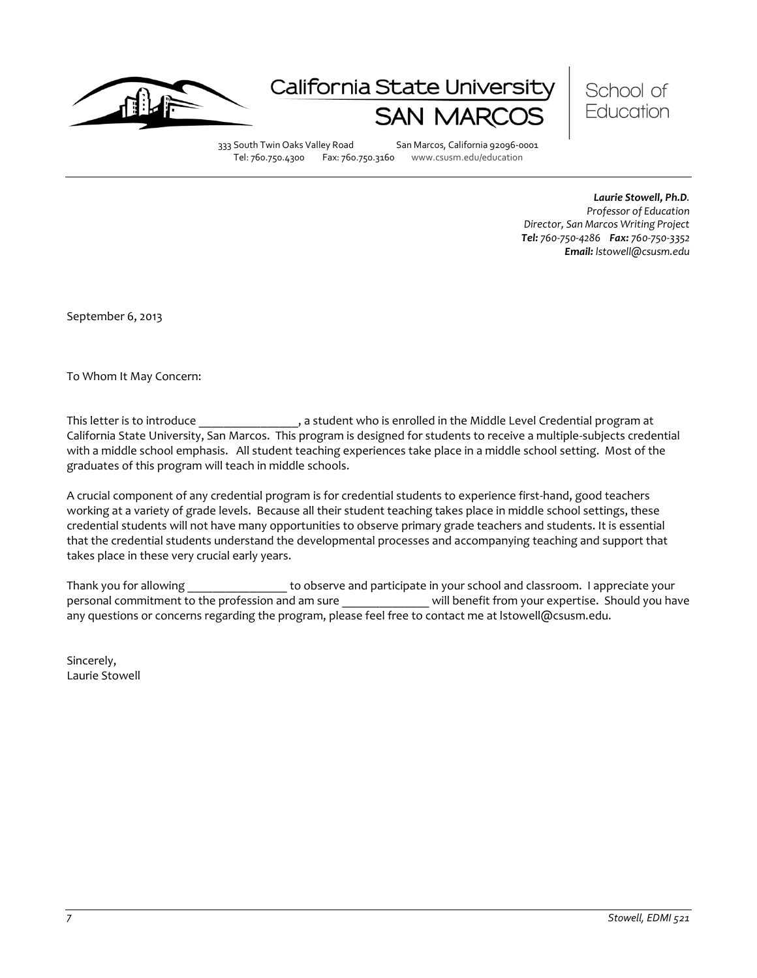

# California State Universi



333 South Twin Oaks Valley Road San Marcos, California 92096-0001<br>Tel: 760.750.4300 Fax: 760.750.3160 www.csusm.edu/education Tel: 760.750.4300 Fax: 760.750.3160 www.csusm.edu/education

> *Laurie Stowell, Ph.D. Professor of Education Director, San Marcos Writing Project Tel: 760-750-4286 Fax: 760-750-3352 Email: lstowell@csusm.edu*

September 6, 2013

To Whom It May Concern:

This letter is to introduce \_\_\_\_\_\_\_\_\_\_\_\_\_\_\_, a student who is enrolled in the Middle Level Credential program at California State University, San Marcos. This program is designed for students to receive a multiple-subjects credential with a middle school emphasis. All student teaching experiences take place in a middle school setting. Most of the graduates of this program will teach in middle schools.

A crucial component of any credential program is for credential students to experience first-hand, good teachers working at a variety of grade levels. Because all their student teaching takes place in middle school settings, these credential students will not have many opportunities to observe primary grade teachers and students. It is essential that the credential students understand the developmental processes and accompanying teaching and support that takes place in these very crucial early years.

Thank you for allowing equal to observe and participate in your school and classroom. I appreciate your personal commitment to the profession and am sure election will benefit from your expertise. Should you have any questions or concerns regarding the program, please feel free to contact me at lstowell@csusm.edu.

Sincerely, Laurie Stowell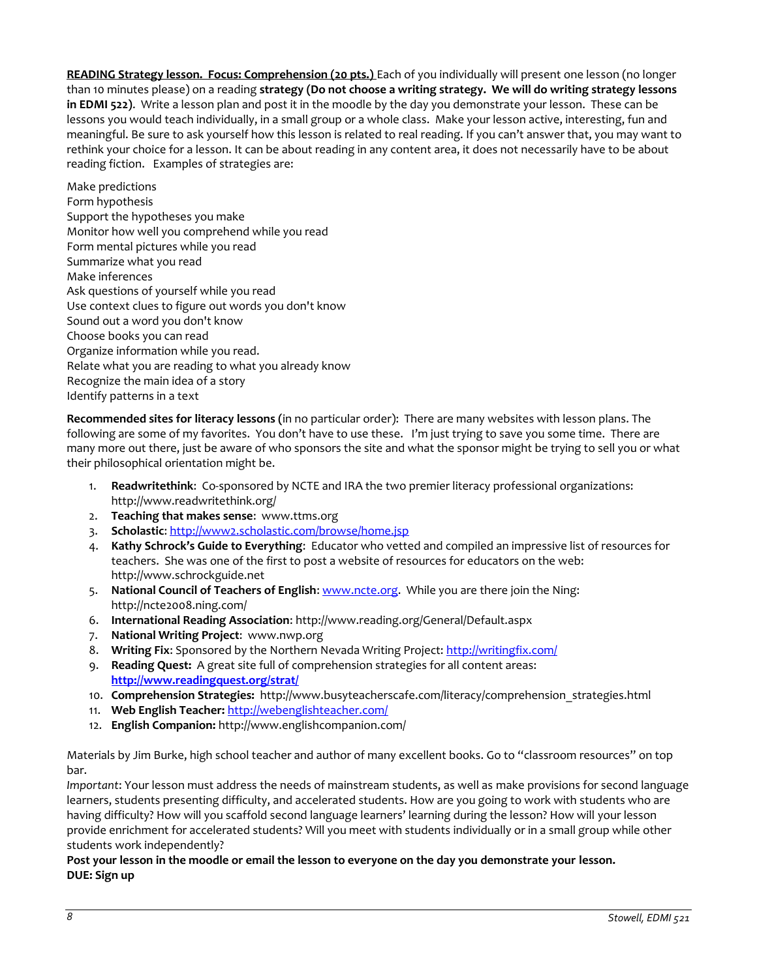**READING Strategy lesson. Focus: Comprehension (20 pts.)** Each of you individually will present one lesson (no longer than 10 minutes please) on a reading **strategy (Do not choose a writing strategy. We will do writing strategy lessons in EDMI 522)**. Write a lesson plan and post it in the moodle by the day you demonstrate your lesson. These can be lessons you would teach individually, in a small group or a whole class. Make your lesson active, interesting, fun and meaningful. Be sure to ask yourself how this lesson is related to real reading. If you can't answer that, you may want to rethink your choice for a lesson. It can be about reading in any content area, it does not necessarily have to be about reading fiction. Examples of strategies are:

Make predictions Form hypothesis Support the hypotheses you make Monitor how well you comprehend while you read Form mental pictures while you read Summarize what you read Make inferences Ask questions of yourself while you read Use context clues to figure out words you don't know Sound out a word you don't know Choose books you can read Organize information while you read. Relate what you are reading to what you already know Recognize the main idea of a story Identify patterns in a text

**Recommended sites for literacy lessons (**in no particular order): There are many websites with lesson plans. The following are some of my favorites. You don't have to use these. I'm just trying to save you some time. There are many more out there, just be aware of who sponsors the site and what the sponsor might be trying to sell you or what their philosophical orientation might be.

- 1. **Readwritethink**: Co-sponsored by NCTE and IRA the two premier literacy professional organizations: http://www.readwritethink.org/
- 2. **Teaching that makes sense**: www.ttms.org
- 3. **Scholastic**[: http://www2.scholastic.com/browse/home.jsp](http://www2.scholastic.com/browse/home.jsp)
- 4. **Kathy Schrock's Guide to Everything**: Educator who vetted and compiled an impressive list of resources for teachers. She was one of the first to post a website of resources for educators on the web: http://www.schrockguide.net
- 5. **National Council of Teachers of English**: [www.ncte.org.](http://www.ncte.org/) While you are there join the Ning: http://ncte2008.ning.com/
- 6. **International Reading Association**: http://www.reading.org/General/Default.aspx
- 7. **National Writing Project**: www.nwp.org
- 8. **Writing Fix**: Sponsored by the Northern Nevada Writing Project:<http://writingfix.com/>
- 9. **Reading Quest:** A great site full of comprehension strategies for all content areas: **<http://www.readingquest.org/strat/>**
- 10. **Comprehension Strategies:** http://www.busyteacherscafe.com/literacy/comprehension\_strategies.html
- 11. **Web English Teacher:** <http://webenglishteacher.com/>
- 12. **English Companion:** http://www.englishcompanion.com/

Materials by Jim Burke, high school teacher and author of many excellent books. Go to "classroom resources" on top bar.

*Important*: Your lesson must address the needs of mainstream students, as well as make provisions for second language learners, students presenting difficulty, and accelerated students. How are you going to work with students who are having difficulty? How will you scaffold second language learners' learning during the lesson? How will your lesson provide enrichment for accelerated students? Will you meet with students individually or in a small group while other students work independently?

### **Post your lesson in the moodle or email the lesson to everyone on the day you demonstrate your lesson. DUE: Sign up**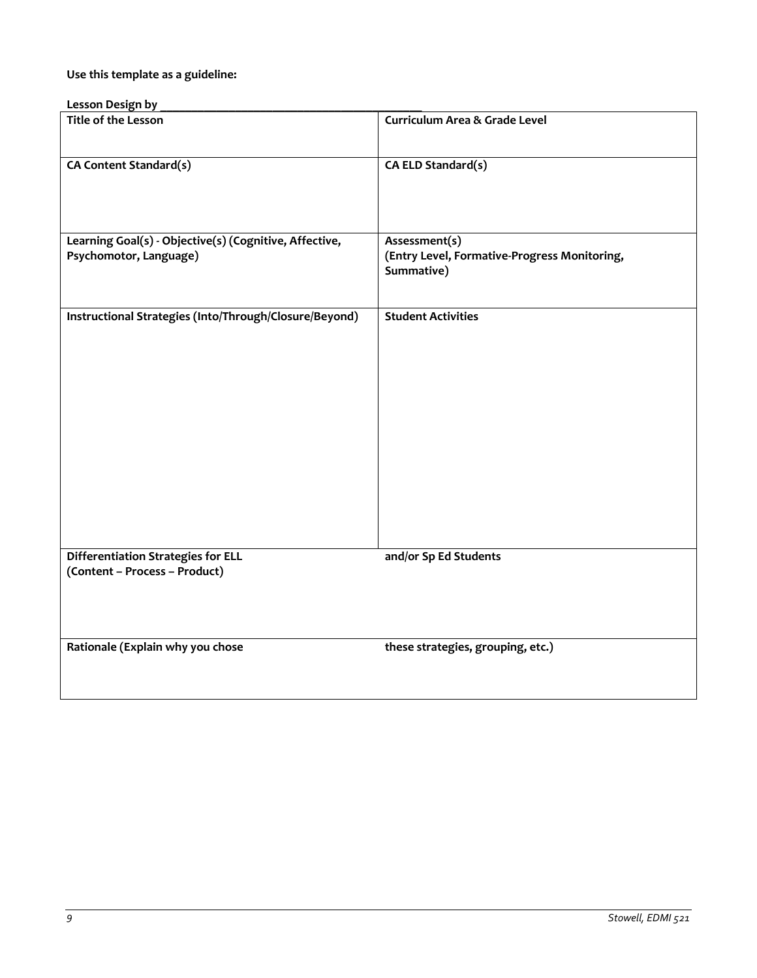# **Use this template as a guideline:**

| Lesson Design by                                                                 |                                                                             |
|----------------------------------------------------------------------------------|-----------------------------------------------------------------------------|
| <b>Title of the Lesson</b>                                                       | <b>Curriculum Area &amp; Grade Level</b>                                    |
| CA Content Standard(s)                                                           | CA ELD Standard(s)                                                          |
| Learning Goal(s) - Objective(s) (Cognitive, Affective,<br>Psychomotor, Language) | Assessment(s)<br>(Entry Level, Formative-Progress Monitoring,<br>Summative) |
| Instructional Strategies (Into/Through/Closure/Beyond)                           | <b>Student Activities</b>                                                   |
| <b>Differentiation Strategies for ELL</b><br>(Content - Process - Product)       | and/or Sp Ed Students                                                       |
| Rationale (Explain why you chose                                                 | these strategies, grouping, etc.)                                           |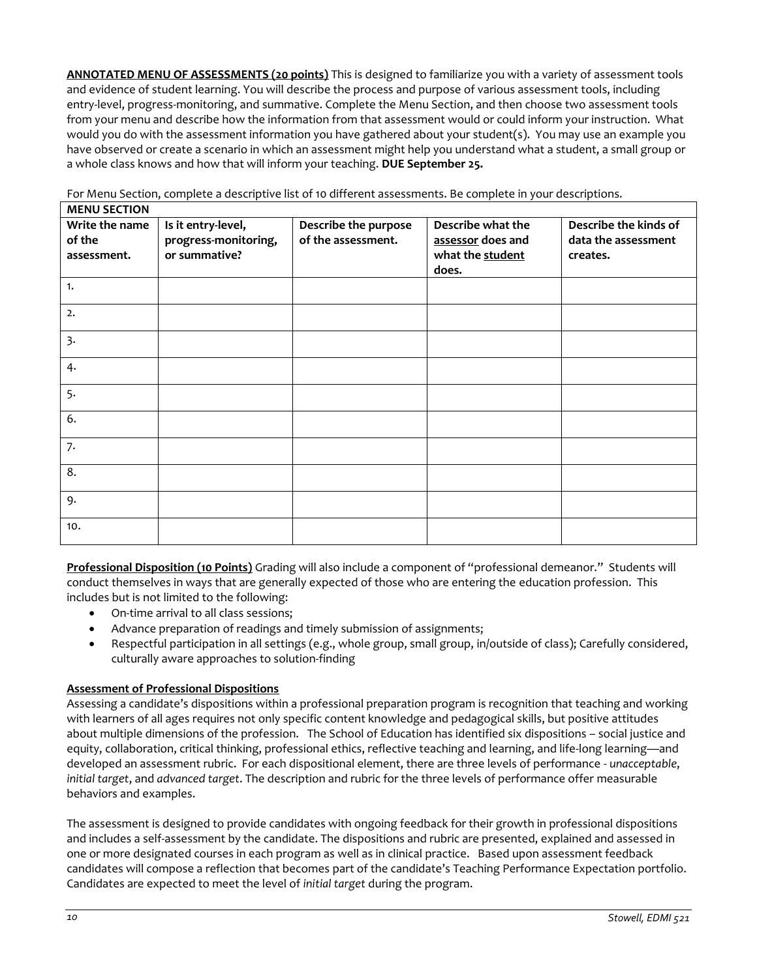**ANNOTATED MENU OF ASSESSMENTS (20 points)** This is designed to familiarize you with a variety of assessment tools and evidence of student learning. You will describe the process and purpose of various assessment tools, including entry-level, progress-monitoring, and summative. Complete the Menu Section, and then choose two assessment tools from your menu and describe how the information from that assessment would or could inform your instruction. What would you do with the assessment information you have gathered about your student(s). You may use an example you have observed or create a scenario in which an assessment might help you understand what a student, a small group or a whole class knows and how that will inform your teaching. **DUE September 25.**

| <b>MENU SECTION</b>                     |                                                             |                                            |                                                                     |                                                          |
|-----------------------------------------|-------------------------------------------------------------|--------------------------------------------|---------------------------------------------------------------------|----------------------------------------------------------|
| Write the name<br>of the<br>assessment. | Is it entry-level,<br>progress-monitoring,<br>or summative? | Describe the purpose<br>of the assessment. | Describe what the<br>assessor does and<br>what the student<br>does. | Describe the kinds of<br>data the assessment<br>creates. |
| 1.                                      |                                                             |                                            |                                                                     |                                                          |
| 2.                                      |                                                             |                                            |                                                                     |                                                          |
| 3.                                      |                                                             |                                            |                                                                     |                                                          |
| 4.                                      |                                                             |                                            |                                                                     |                                                          |
| 5.                                      |                                                             |                                            |                                                                     |                                                          |
| 6.                                      |                                                             |                                            |                                                                     |                                                          |
| 7.                                      |                                                             |                                            |                                                                     |                                                          |
| 8.                                      |                                                             |                                            |                                                                     |                                                          |
| 9.                                      |                                                             |                                            |                                                                     |                                                          |
| 10.                                     |                                                             |                                            |                                                                     |                                                          |

For Menu Section, complete a descriptive list of 10 different assessments. Be complete in your descriptions.

**Professional Disposition (10 Points)** Grading will also include a component of "professional demeanor." Students will conduct themselves in ways that are generally expected of those who are entering the education profession. This includes but is not limited to the following:

- On-time arrival to all class sessions;
- Advance preparation of readings and timely submission of assignments;
- Respectful participation in all settings (e.g., whole group, small group, in/outside of class); Carefully considered, culturally aware approaches to solution-finding

#### **Assessment of Professional Dispositions**

Assessing a candidate's dispositions within a professional preparation program is recognition that teaching and working with learners of all ages requires not only specific content knowledge and pedagogical skills, but positive attitudes about multiple dimensions of the profession. The School of Education has identified six dispositions – social justice and equity, collaboration, critical thinking, professional ethics, reflective teaching and learning, and life-long learning—and developed an assessment rubric. For each dispositional element, there are three levels of performance - *unacceptable*, *initial target*, and *advanced target*. The description and rubric for the three levels of performance offer measurable behaviors and examples.

The assessment is designed to provide candidates with ongoing feedback for their growth in professional dispositions and includes a self-assessment by the candidate. The dispositions and rubric are presented, explained and assessed in one or more designated courses in each program as well as in clinical practice. Based upon assessment feedback candidates will compose a reflection that becomes part of the candidate's Teaching Performance Expectation portfolio. Candidates are expected to meet the level of *initial target* during the program.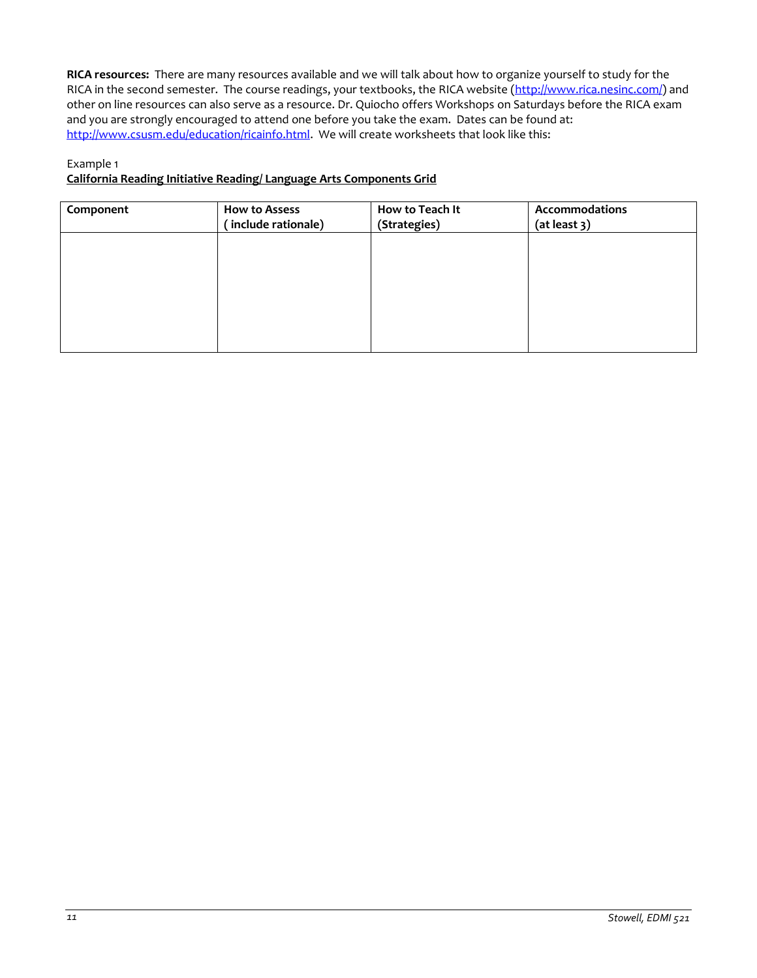**RICA resources:** There are many resources available and we will talk about how to organize yourself to study for the RICA in the second semester. The course readings, your textbooks, the RICA website [\(http://www.rica.nesinc.com/\)](http://www.rica.nesinc.com/) and other on line resources can also serve as a resource. Dr. Quiocho offers Workshops on Saturdays before the RICA exam and you are strongly encouraged to attend one before you take the exam. Dates can be found at: [http://www.csusm.edu/education/ricainfo.html.](http://www.csusm.edu/education/ricainfo.html) We will create worksheets that look like this:

# Example 1

### **California Reading Initiative Reading/ Language Arts Components Grid**

| Component | How to Assess<br>(include rationale) | How to Teach It<br>(Strategies) | Accommodations<br>(at least 3) |
|-----------|--------------------------------------|---------------------------------|--------------------------------|
|           |                                      |                                 |                                |
|           |                                      |                                 |                                |
|           |                                      |                                 |                                |
|           |                                      |                                 |                                |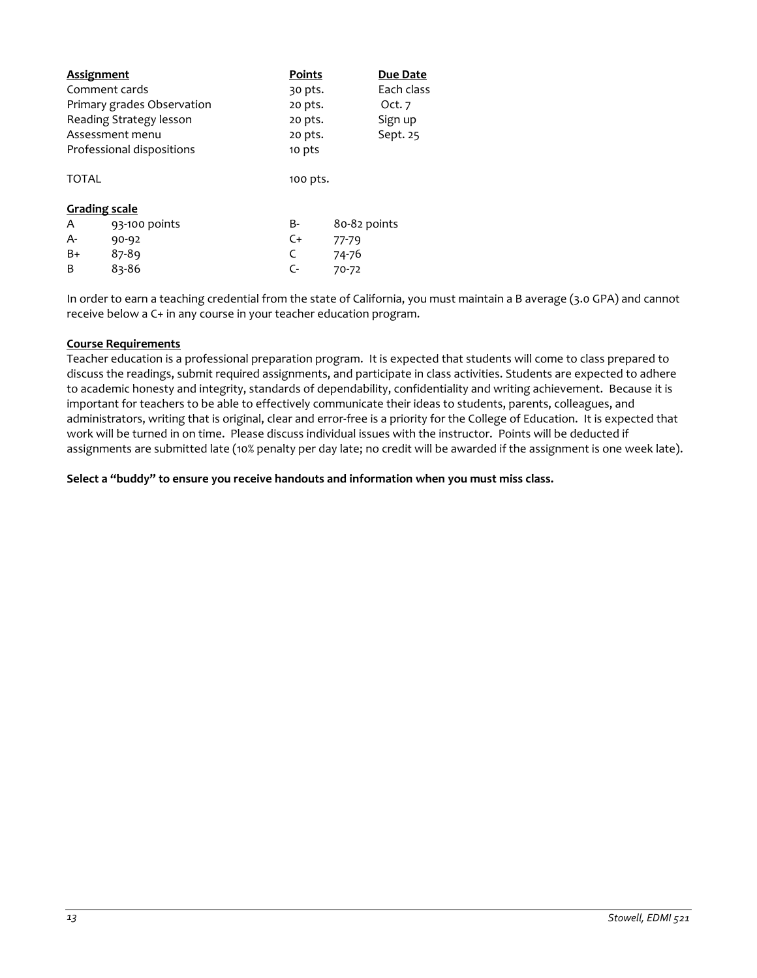| <b>Assignment</b>         |                            | <b>Points</b> |              | Due Date   |
|---------------------------|----------------------------|---------------|--------------|------------|
| Comment cards             |                            | 30 pts.       |              | Each class |
|                           | Primary grades Observation | 20 pts.       |              | Oct. $7$   |
|                           | Reading Strategy lesson    | 20 pts.       |              | Sign up    |
|                           | Assessment menu            | 20 pts.       |              | Sept. 25   |
| Professional dispositions |                            | 10 pts        |              |            |
| <b>TOTAL</b>              |                            | 100 pts.      |              |            |
| <b>Grading scale</b>      |                            |               |              |            |
| A                         | 93-100 points              | B-            | 80-82 points |            |
| A-                        | $90 - 92$                  | $C+$          | $77 - 79$    |            |
| B+                        | 87-89                      | C             | 74-76        |            |
| B                         | 83-86                      | C-            | 70-72        |            |

In order to earn a teaching credential from the state of California, you must maintain a B average (3.0 GPA) and cannot receive below a C+ in any course in your teacher education program.

#### **Course Requirements**

Teacher education is a professional preparation program. It is expected that students will come to class prepared to discuss the readings, submit required assignments, and participate in class activities. Students are expected to adhere to academic honesty and integrity, standards of dependability, confidentiality and writing achievement. Because it is important for teachers to be able to effectively communicate their ideas to students, parents, colleagues, and administrators, writing that is original, clear and error-free is a priority for the College of Education. It is expected that work will be turned in on time. Please discuss individual issues with the instructor. Points will be deducted if assignments are submitted late (10% penalty per day late; no credit will be awarded if the assignment is one week late).

**Select a "buddy" to ensure you receive handouts and information when you must miss class.**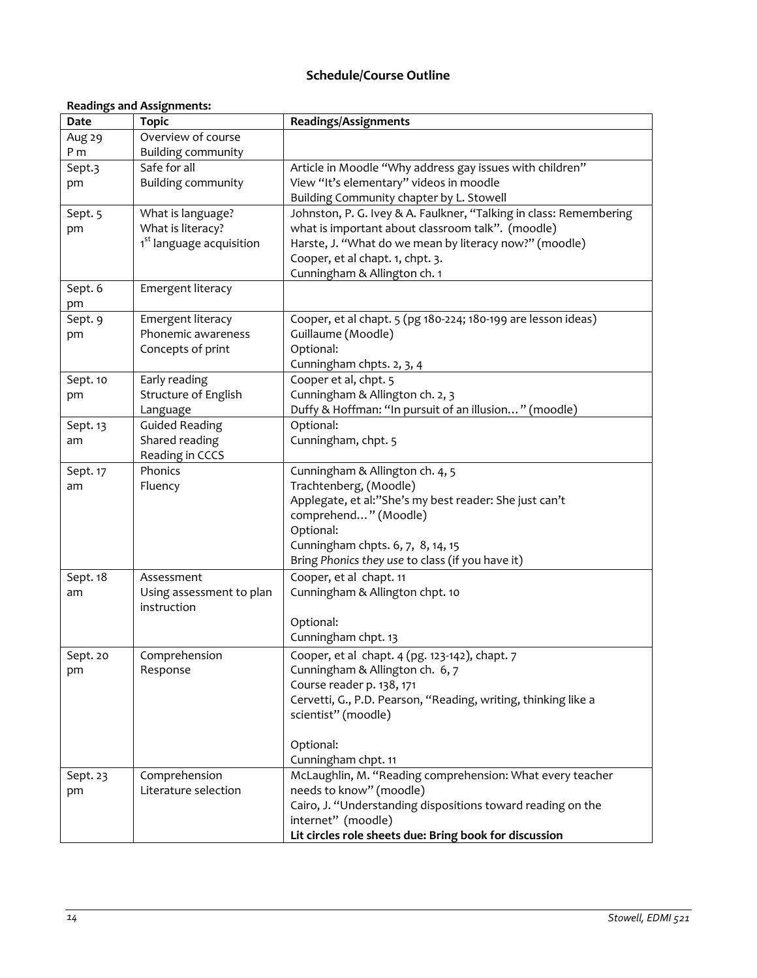# **Schedule/Course Outline**

# **Readings and Assignments:**

| Date     | <b>Topic</b>                           | Readings/Assignments                                                                                                    |
|----------|----------------------------------------|-------------------------------------------------------------------------------------------------------------------------|
| Aug 29   | Overview of course                     |                                                                                                                         |
| P m      | <b>Building community</b>              |                                                                                                                         |
| Sept.3   | Safe for all                           | Article in Moodle "Why address gay issues with children"                                                                |
| pm       | <b>Building community</b>              | View "It's elementary" videos in moodle                                                                                 |
|          |                                        | Building Community chapter by L. Stowell                                                                                |
| Sept. 5  | What is language?<br>What is literacy? | Johnston, P. G. Ivey & A. Faulkner, "Talking in class: Remembering<br>what is important about classroom talk". (moodle) |
| pm       | 1 <sup>st</sup> language acquisition   | Harste, J. "What do we mean by literacy now?" (moodle)                                                                  |
|          |                                        | Cooper, et al chapt. 1, chpt. 3.                                                                                        |
|          |                                        | Cunningham & Allington ch. 1                                                                                            |
| Sept. 6  | Emergent literacy                      |                                                                                                                         |
| pm       |                                        |                                                                                                                         |
| Sept. 9  | Emergent literacy                      | Cooper, et al chapt. 5 (pg 180-224; 180-199 are lesson ideas)                                                           |
| pm       | Phonemic awareness                     | Guillaume (Moodle)                                                                                                      |
|          | Concepts of print                      | Optional:                                                                                                               |
|          |                                        | Cunningham chpts. 2, 3, 4                                                                                               |
| Sept. 10 | Early reading                          | Cooper et al, chpt. 5                                                                                                   |
| pm       | Structure of English                   | Cunningham & Allington ch. 2, 3                                                                                         |
|          | Language                               | Duffy & Hoffman: "In pursuit of an illusion" (moodle)                                                                   |
| Sept. 13 | <b>Guided Reading</b>                  | Optional:                                                                                                               |
| am       | Shared reading<br>Reading in CCCS      | Cunningham, chpt. 5                                                                                                     |
| Sept. 17 | Phonics                                | Cunningham & Allington ch. 4, 5                                                                                         |
| am       | Fluency                                | Trachtenberg, (Moodle)                                                                                                  |
|          |                                        | Applegate, et al:"She's my best reader: She just can't                                                                  |
|          |                                        | comprehend" (Moodle)                                                                                                    |
|          |                                        | Optional:                                                                                                               |
|          |                                        | Cunningham chpts. 6, 7, 8, 14, 15                                                                                       |
|          |                                        | Bring Phonics they use to class (if you have it)                                                                        |
| Sept. 18 | Assessment                             | Cooper, et al chapt. 11                                                                                                 |
| am       | Using assessment to plan               | Cunningham & Allington chpt. 10                                                                                         |
|          | instruction                            |                                                                                                                         |
|          |                                        | Optional:                                                                                                               |
|          |                                        | Cunningham chpt. 13                                                                                                     |
| Sept. 20 | Comprehension                          | Cooper, et al chapt. 4 (pg. 123-142), chapt. 7                                                                          |
| pm       | Response                               | Cunningham & Allington ch. 6, 7<br>Course reader p. 138, 171                                                            |
|          |                                        | Cervetti, G., P.D. Pearson, "Reading, writing, thinking like a                                                          |
|          |                                        | scientist" (moodle)                                                                                                     |
|          |                                        |                                                                                                                         |
|          |                                        | Optional:                                                                                                               |
|          |                                        | Cunningham chpt. 11                                                                                                     |
| Sept. 23 | Comprehension                          | McLaughlin, M. "Reading comprehension: What every teacher                                                               |
| pm       | Literature selection                   | needs to know" (moodle)                                                                                                 |
|          |                                        | Cairo, J. "Understanding dispositions toward reading on the                                                             |
|          |                                        | internet" (moodle)                                                                                                      |
|          |                                        | Lit circles role sheets due: Bring book for discussion                                                                  |